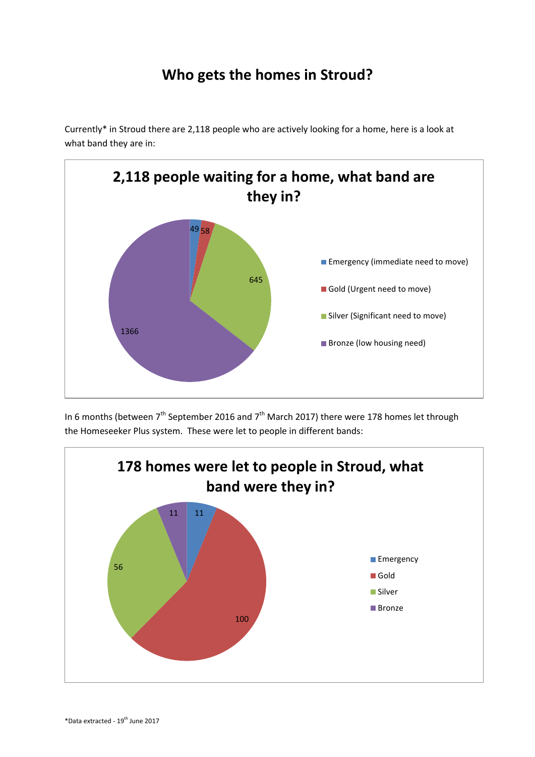## **Who gets the homes in Stroud?**

Currently\* in Stroud there are 2,118 people who are actively looking for a home, here is a look at what band they are in:



In 6 months (between  $7<sup>th</sup>$  September 2016 and  $7<sup>th</sup>$  March 2017) there were 178 homes let through the Homeseeker Plus system. These were let to people in different bands: